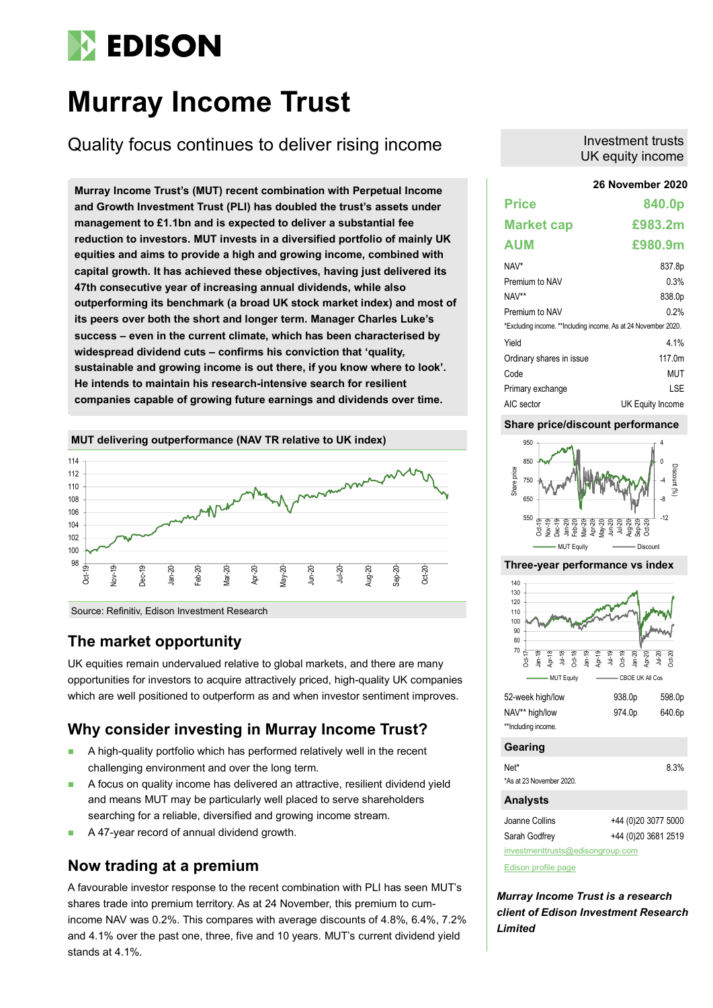# **EDISON**

# **Murray Income Trust**

Quality focus continues to deliver rising income

**26 November 2020 Murray Income Trust's (MUT) recent combination with Perpetual Income and Growth Investment Trust (PLI) has doubled the trust's assets under management to £1.1bn and is expected to deliver a substantial fee reduction to investors. MUT invests in a diversified portfolio of mainly UK equities and aims to provide a high and growing income, combined with capital growth. It has achieved these objectives, having just delivered its 47th consecutive year of increasing annual dividends, while also outperforming its benchmark (a broad UK stock market index) and most of its peers over both the short and longer term. Manager Charles Luke's success – even in the current climate, which has been characterised by widespread dividend cuts – confirms his conviction that 'quality, sustainable and growing income is out there, if you know where to look'. He intends to maintain his research-intensive search for resilient companies capable of growing future earnings and dividends over time.**

### **MUT delivering outperformance (NAV TR relative to UK index)**



Source: Refinitiv, Edison Investment Research

## **The market opportunity**

UK equities remain undervalued relative to global markets, and there are many opportunities for investors to acquire attractively priced, high-quality UK companies which are well positioned to outperform as and when investor sentiment improves.

## **Why consider investing in Murray Income Trust?**

- A high-quality portfolio which has performed relatively well in the recent challenging environment and over the long term.
- A focus on quality income has delivered an attractive, resilient dividend yield and means MUT may be particularly well placed to serve shareholders searching for a reliable, diversified and growing income stream.
- A 47-year record of annual dividend growth.

## **Now trading at a premium**

A favourable investor response to the recent combination with PLI has seen MUT's shares trade into premium territory. As at 24 November, this premium to cumincome NAV was 0.2%. This compares with average discounts of 4.8%, 6.4%, 7.2% and 4.1% over the past one, three, five and 10 years. MUT's current dividend yield stands at 4.1%.

## Investment trusts UK equity income

| <b>Price</b>                                                   | 840.0p           |
|----------------------------------------------------------------|------------------|
| <b>Market cap</b>                                              | £983.2m          |
| <b>AUM</b>                                                     | £980.9m          |
| NAV*                                                           | 837.8p           |
| Premium to NAV                                                 | 0.3%             |
| NAV**                                                          | 838.0p           |
| Premium to NAV                                                 | 0.2%             |
| *Excluding income. **Including income. As at 24 November 2020. |                  |
| Yield                                                          | 4 1%             |
| Ordinary shares in issue                                       | 117 0m           |
| Code                                                           | MUT              |
| Primary exchange                                               | I SF             |
| AIC sector                                                     | UK Equity Income |

## **Share price/discount performance**



#### **Three-year performance vs index**



### **Gearing**

Net\* 8.3% \*As at 23 November 2020.

### **Analysts**

| investmenttrusts@edisongroup.com |                      |  |  |  |  |  |  |  |
|----------------------------------|----------------------|--|--|--|--|--|--|--|
| Sarah Godfrey                    | +44 (0) 20 3681 2519 |  |  |  |  |  |  |  |
| Joanne Collins                   | +44 (0) 20 3077 5000 |  |  |  |  |  |  |  |

[Edison profile page](https://www.edisongroup.com/company/murray-income-trust/2875/)

*Murray Income Trust is a research client of Edison Investment Research Limited*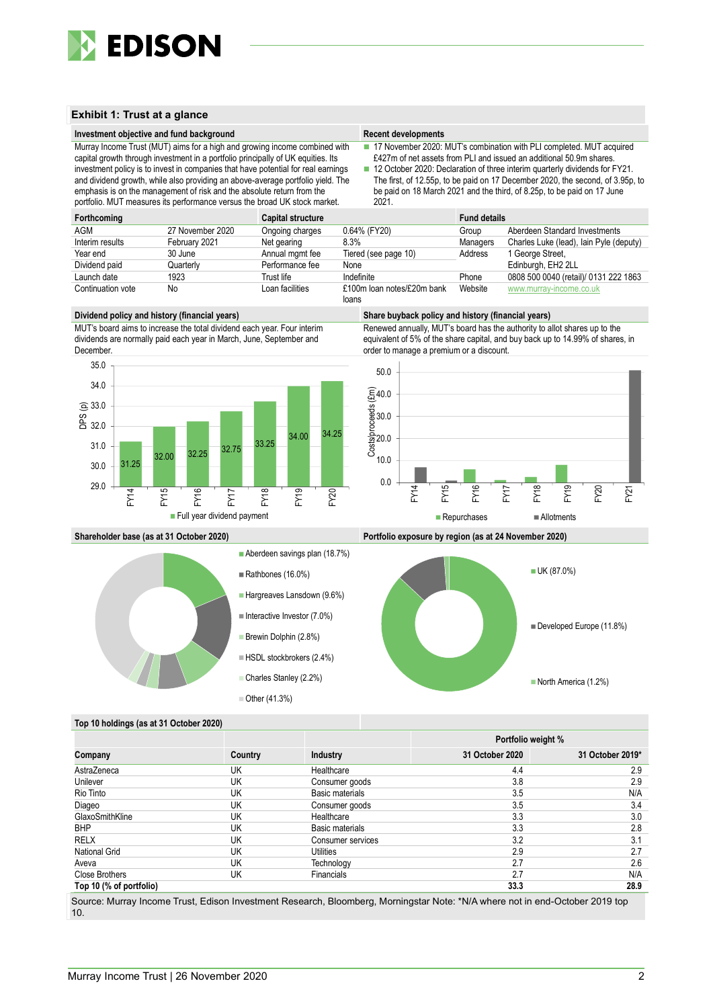

### **Exhibit 1: Trust at a glance**

#### **Investment objective and fund background Recent developments Recent developments**

Murray Income Trust (MUT) aims for a high and growing income combined with capital growth through investment in a portfolio principally of UK equities. Its investment policy is to invest in companies that have potential for real earnings and dividend growth, while also providing an above-average portfolio yield. The emphasis is on the management of risk and the absolute return from the portfolio. MUT measures its performance versus the broad UK stock market.

■ 17 November 2020: MUT's combination with PLI completed. MUT acquired £427m of net assets from PLI and issued an additional 50.9m shares.

■ 12 October 2020: Declaration of three interim quarterly dividends for FY21. The first, of 12.55p, to be paid on 17 December 2020, the second, of 3.95p, to be paid on 18 March 2021 and the third, of 8.25p, to be paid on 17 June 2021.

| Forthcoming       |                  | <b>Capital structure</b> |                            | <b>Fund details</b> |                                         |
|-------------------|------------------|--------------------------|----------------------------|---------------------|-----------------------------------------|
| AGM               | 27 November 2020 | Ongoing charges          | 0.64% (FY20)               | Group               | Aberdeen Standard Investments           |
| Interim results   | February 2021    | Net gearing              | 8.3%                       | Managers            | Charles Luke (lead), lain Pyle (deputy) |
| Year end          | 30 June          | Annual mgmt fee          | Tiered (see page 10)       | Address             | 1 George Street,                        |
| Dividend paid     | Quarterlv        | Performance fee          | None                       |                     | Edinburgh, EH2 2LL                      |
| Launch date       | 1923             | Trust life               | Indefinite                 | Phone               | 0808 500 0040 (retail)/ 0131 222 1863   |
| Continuation vote | No               | Loan facilities          | £100m loan notes/£20m bank | Website             | www.murray-income.co.uk                 |
|                   |                  |                          | loans                      |                     |                                         |

#### **Dividend policy and history (financial years) Share buyback policy and history (financial years)**

MUT's board aims to increase the total dividend each year. Four interim dividends are normally paid each year in March, June, September and December.



Renewed annually, MUT's board has the authority to allot shares up to the equivalent of 5% of the share capital, and buy back up to 14.99% of shares, in order to manage a premium or a discount.









#### **Top 10 holdings (as at 31 October 2020)**

|                         |         |                   |                 | Portfolio weight % |
|-------------------------|---------|-------------------|-----------------|--------------------|
| Company                 | Country | Industry          | 31 October 2020 | 31 October 2019*   |
| AstraZeneca             | UK      | Healthcare        | 4.4             | 2.9                |
| Unilever                | UK      | Consumer goods    | 3.8             | 2.9                |
| Rio Tinto               | UK      | Basic materials   | 3.5             | N/A                |
| Diageo                  | UK      | Consumer goods    | 3.5             | 3.4                |
| GlaxoSmithKline         | UK      | Healthcare        | 3.3             | 3.0                |
| <b>BHP</b>              | UK      | Basic materials   | 3.3             | 2.8                |
| RELX                    | UK      | Consumer services | 3.2             | 3.1                |
| <b>National Grid</b>    | UK      | Utilities         | 2.9             | 2.7                |
| Aveva                   | UK      | Technology        | 2.7             | 2.6                |
| <b>Close Brothers</b>   | UK      | <b>Financials</b> | 2.7             | N/A                |
| Top 10 (% of portfolio) |         |                   | 33.3            | 28.9               |

Source: Murray Income Trust, Edison Investment Research, Bloomberg, Morningstar Note: \*N/A where not in end-October 2019 top 10.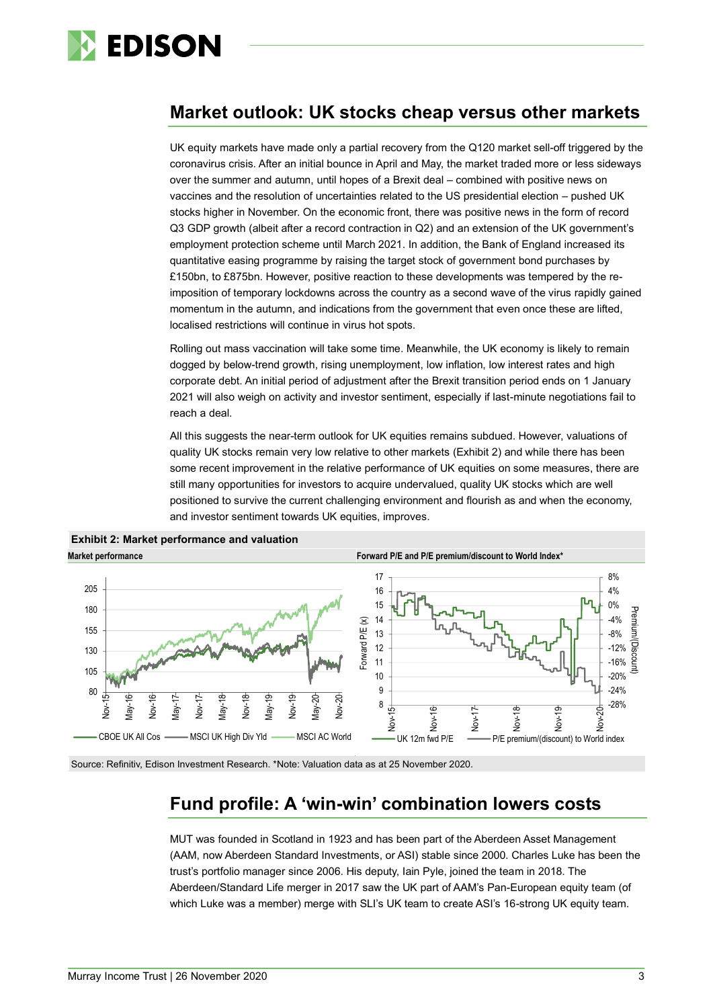

## **Market outlook: UK stocks cheap versus other markets**

UK equity markets have made only a partial recovery from the Q120 market sell-off triggered by the coronavirus crisis. After an initial bounce in April and May, the market traded more or less sideways over the summer and autumn, until hopes of a Brexit deal – combined with positive news on vaccines and the resolution of uncertainties related to the US presidential election – pushed UK stocks higher in November. On the economic front, there was positive news in the form of record Q3 GDP growth (albeit after a record contraction in Q2) and an extension of the UK government's employment protection scheme until March 2021. In addition, the Bank of England increased its quantitative easing programme by raising the target stock of government bond purchases by £150bn, to £875bn. However, positive reaction to these developments was tempered by the reimposition of temporary lockdowns across the country as a second wave of the virus rapidly gained momentum in the autumn, and indications from the government that even once these are lifted, localised restrictions will continue in virus hot spots.

Rolling out mass vaccination will take some time. Meanwhile, the UK economy is likely to remain dogged by below-trend growth, rising unemployment, low inflation, low interest rates and high corporate debt. An initial period of adjustment after the Brexit transition period ends on 1 January 2021 will also weigh on activity and investor sentiment, especially if last-minute negotiations fail to reach a deal.

All this suggests the near-term outlook for UK equities remains subdued. However, valuations of quality UK stocks remain very low relative to other markets (Exhibit 2) and while there has been some recent improvement in the relative performance of UK equities on some measures, there are still many opportunities for investors to acquire undervalued, quality UK stocks which are well positioned to survive the current challenging environment and flourish as and when the economy, and investor sentiment towards UK equities, improves.





Source: Refinitiv, Edison Investment Research. \*Note: Valuation data as at 25 November 2020.

## **Fund profile: A 'win-win' combination lowers costs**

MUT was founded in Scotland in 1923 and has been part of the Aberdeen Asset Management (AAM, now Aberdeen Standard Investments, or ASI) stable since 2000. Charles Luke has been the trust's portfolio manager since 2006. His deputy, Iain Pyle, joined the team in 2018. The Aberdeen/Standard Life merger in 2017 saw the UK part of AAM's Pan-European equity team (of which Luke was a member) merge with SLI's UK team to create ASI's 16-strong UK equity team.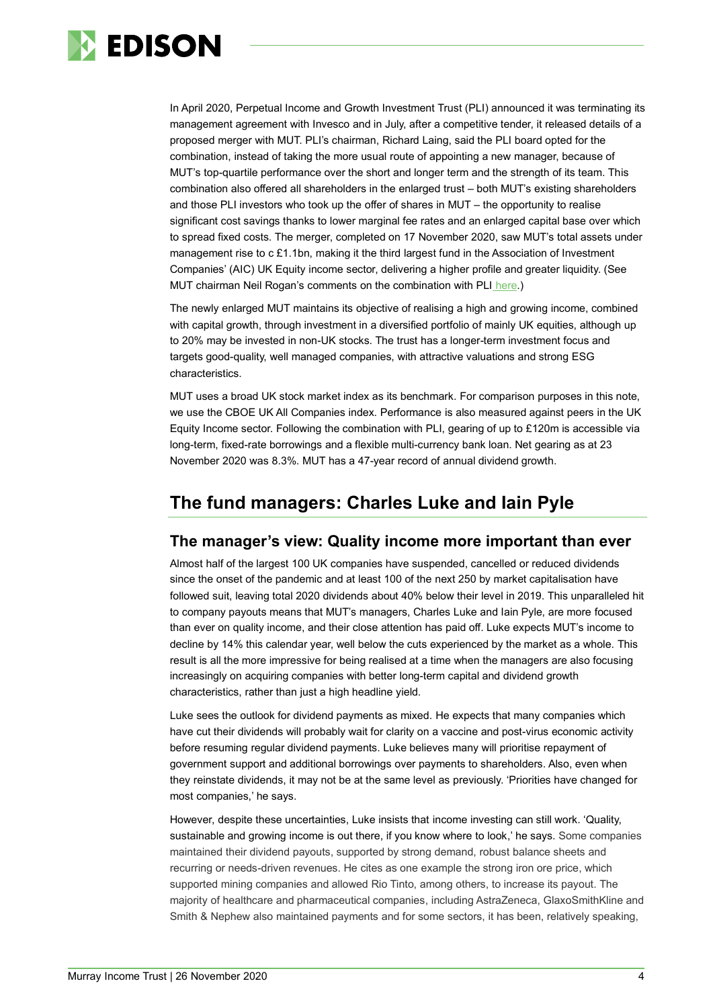

In April 2020, Perpetual Income and Growth Investment Trust (PLI) announced it was terminating its management agreement with Invesco and in July, after a competitive tender, it released details of a proposed merger with MUT. PLI's chairman, Richard Laing, said the PLI board opted for the combination, instead of taking the more usual route of appointing a new manager, because of MUT's top-quartile performance over the short and longer term and the strength of its team. This combination also offered all shareholders in the enlarged trust – both MUT's existing shareholders and those PLI investors who took up the offer of shares in MUT – the opportunity to realise significant cost savings thanks to lower marginal fee rates and an enlarged capital base over which to spread fixed costs. The merger, completed on 17 November 2020, saw MUT's total assets under management rise to c £1.1bn, making it the third largest fund in the Association of Investment Companies' (AIC) UK Equity income sector, delivering a higher profile and greater liquidity. (See MUT chairman Neil Rogan's comments on the combination with PLI [here.](https://www.edisongroup.com/edison-tv/chairmans-insight-murray-income-trust/))

The newly enlarged MUT maintains its objective of realising a high and growing income, combined with capital growth, through investment in a diversified portfolio of mainly UK equities, although up to 20% may be invested in non-UK stocks. The trust has a longer-term investment focus and targets good-quality, well managed companies, with attractive valuations and strong ESG characteristics.

MUT uses a broad UK stock market index as its benchmark. For comparison purposes in this note, we use the CBOE UK All Companies index. Performance is also measured against peers in the UK Equity Income sector. Following the combination with PLI, gearing of up to £120m is accessible via long-term, fixed-rate borrowings and a flexible multi-currency bank loan. Net gearing as at 23 November 2020 was 8.3%. MUT has a 47-year record of annual dividend growth.

## **The fund managers: Charles Luke and Iain Pyle**

## **The manager's view: Quality income more important than ever**

Almost half of the largest 100 UK companies have suspended, cancelled or reduced dividends since the onset of the pandemic and at least 100 of the next 250 by market capitalisation have followed suit, leaving total 2020 dividends about 40% below their level in 2019. This unparalleled hit to company payouts means that MUT's managers, Charles Luke and Iain Pyle, are more focused than ever on quality income, and their close attention has paid off. Luke expects MUT's income to decline by 14% this calendar year, well below the cuts experienced by the market as a whole. This result is all the more impressive for being realised at a time when the managers are also focusing increasingly on acquiring companies with better long-term capital and dividend growth characteristics, rather than just a high headline yield.

Luke sees the outlook for dividend payments as mixed. He expects that many companies which have cut their dividends will probably wait for clarity on a vaccine and post-virus economic activity before resuming regular dividend payments. Luke believes many will prioritise repayment of government support and additional borrowings over payments to shareholders. Also, even when they reinstate dividends, it may not be at the same level as previously. 'Priorities have changed for most companies,' he says.

However, despite these uncertainties, Luke insists that income investing can still work. 'Quality, sustainable and growing income is out there, if you know where to look,' he says. Some companies maintained their dividend payouts, supported by strong demand, robust balance sheets and recurring or needs-driven revenues. He cites as one example the strong iron ore price, which supported mining companies and allowed Rio Tinto, among others, to increase its payout. The majority of healthcare and pharmaceutical companies, including AstraZeneca, GlaxoSmithKline and Smith & Nephew also maintained payments and for some sectors, it has been, relatively speaking,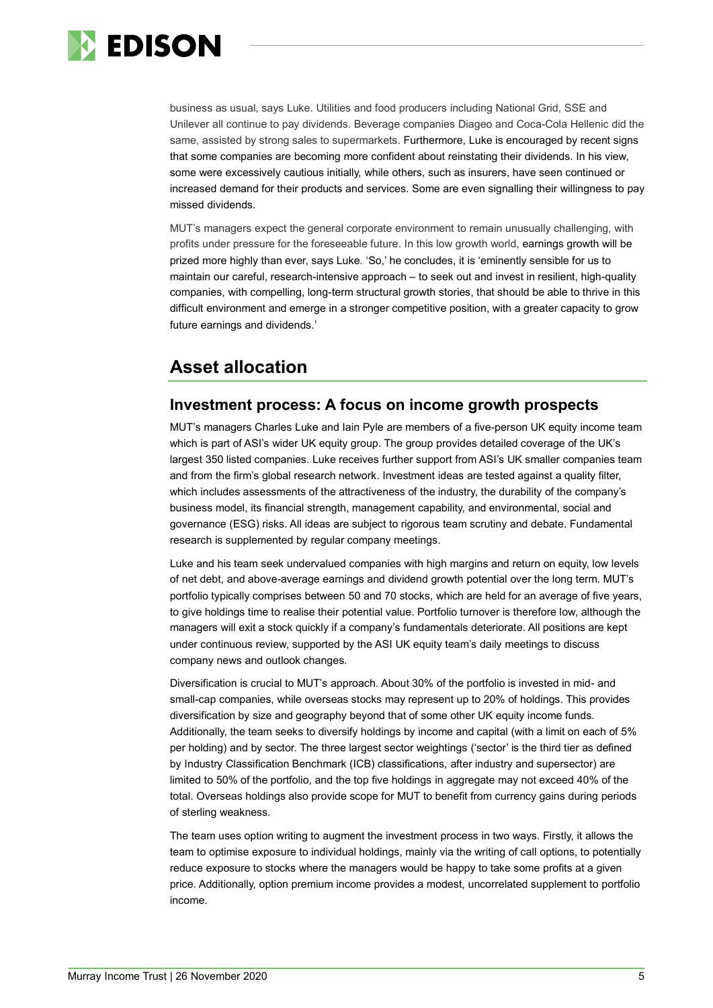

business as usual, says Luke. Utilities and food producers including National Grid, SSE and Unilever all continue to pay dividends. Beverage companies Diageo and Coca-Cola Hellenic did the same, assisted by strong sales to supermarkets. Furthermore, Luke is encouraged by recent signs that some companies are becoming more confident about reinstating their dividends. In his view, some were excessively cautious initially, while others, such as insurers, have seen continued or increased demand for their products and services. Some are even signalling their willingness to pay missed dividends.

MUT's managers expect the general corporate environment to remain unusually challenging, with profits under pressure for the foreseeable future. In this low growth world, earnings growth will be prized more highly than ever, says Luke. 'So,' he concludes, it is 'eminently sensible for us to maintain our careful, research-intensive approach – to seek out and invest in resilient, high-quality companies, with compelling, long-term structural growth stories, that should be able to thrive in this difficult environment and emerge in a stronger competitive position, with a greater capacity to grow future earnings and dividends.'

## **Asset allocation**

## **Investment process: A focus on income growth prospects**

MUT's managers Charles Luke and Iain Pyle are members of a five-person UK equity income team which is part of ASI's wider UK equity group. The group provides detailed coverage of the UK's largest 350 listed companies. Luke receives further support from ASI's UK smaller companies team and from the firm's global research network. Investment ideas are tested against a quality filter, which includes assessments of the attractiveness of the industry, the durability of the company's business model, its financial strength, management capability, and environmental, social and governance (ESG) risks. All ideas are subject to rigorous team scrutiny and debate. Fundamental research is supplemented by regular company meetings.

Luke and his team seek undervalued companies with high margins and return on equity, low levels of net debt, and above-average earnings and dividend growth potential over the long term. MUT's portfolio typically comprises between 50 and 70 stocks, which are held for an average of five years, to give holdings time to realise their potential value. Portfolio turnover is therefore low, although the managers will exit a stock quickly if a company's fundamentals deteriorate. All positions are kept under continuous review, supported by the ASI UK equity team's daily meetings to discuss company news and outlook changes.

Diversification is crucial to MUT's approach. About 30% of the portfolio is invested in mid- and small-cap companies, while overseas stocks may represent up to 20% of holdings. This provides diversification by size and geography beyond that of some other UK equity income funds. Additionally, the team seeks to diversify holdings by income and capital (with a limit on each of 5% per holding) and by sector. The three largest sector weightings ('sector' is the third tier as defined by Industry Classification Benchmark (ICB) classifications, after industry and supersector) are limited to 50% of the portfolio, and the top five holdings in aggregate may not exceed 40% of the total. Overseas holdings also provide scope for MUT to benefit from currency gains during periods of sterling weakness.

The team uses option writing to augment the investment process in two ways. Firstly, it allows the team to optimise exposure to individual holdings, mainly via the writing of call options, to potentially reduce exposure to stocks where the managers would be happy to take some profits at a given price. Additionally, option premium income provides a modest, uncorrelated supplement to portfolio income.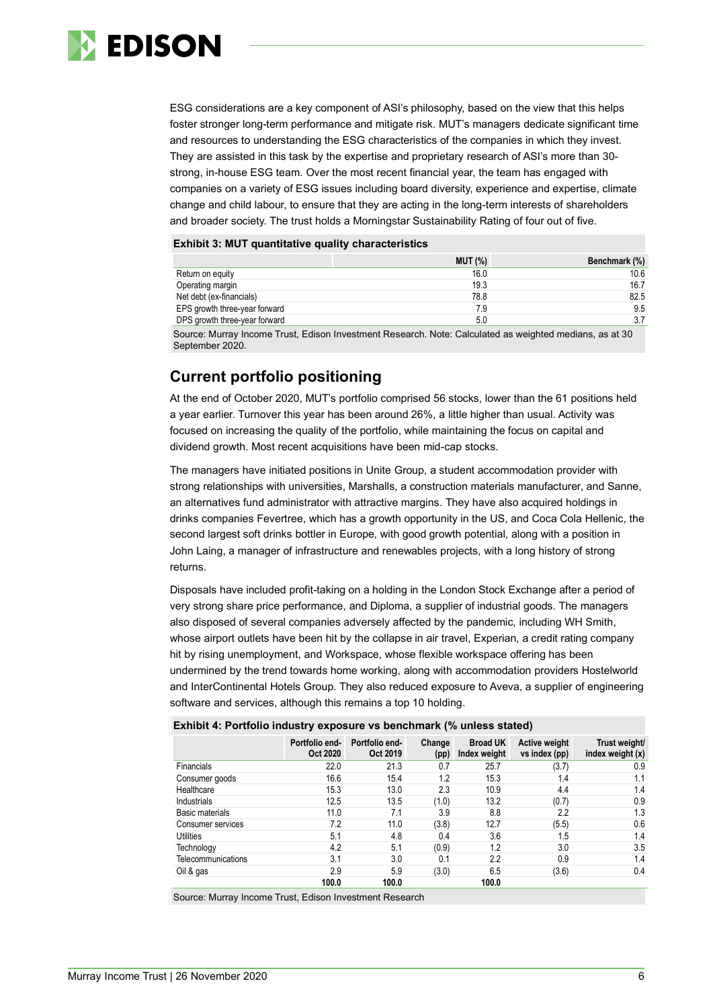

ESG considerations are a key component of ASI's philosophy, based on the view that this helps foster stronger long-term performance and mitigate risk. MUT's managers dedicate significant time and resources to understanding the ESG characteristics of the companies in which they invest. They are assisted in this task by the expertise and proprietary research of ASI's more than 30 strong, in-house ESG team. Over the most recent financial year, the team has engaged with companies on a variety of ESG issues including board diversity, experience and expertise, climate change and child labour, to ensure that they are acting in the long-term interests of shareholders and broader society. The trust holds a Morningstar Sustainability Rating of four out of five.

#### **Exhibit 3: MUT quantitative quality characteristics**

|                               | <b>MUT (%)</b> | Benchmark (%) |
|-------------------------------|----------------|---------------|
| Return on equity              | 16.0           | 10.6          |
| Operating margin              | 19.3           | 16.7          |
| Net debt (ex-financials)      | 78.8           | 82.5          |
| EPS growth three-year forward | 7.9            | 9.5           |
| DPS growth three-year forward | 5.0            | 3.7           |

Source: Murray Income Trust, Edison Investment Research. Note: Calculated as weighted medians, as at 30 September 2020.

## **Current portfolio positioning**

At the end of October 2020, MUT's portfolio comprised 56 stocks, lower than the 61 positions held a year earlier. Turnover this year has been around 26%, a little higher than usual. Activity was focused on increasing the quality of the portfolio, while maintaining the focus on capital and dividend growth. Most recent acquisitions have been mid-cap stocks.

The managers have initiated positions in Unite Group, a student accommodation provider with strong relationships with universities, Marshalls, a construction materials manufacturer, and Sanne, an alternatives fund administrator with attractive margins. They have also acquired holdings in drinks companies Fevertree, which has a growth opportunity in the US, and Coca Cola Hellenic, the second largest soft drinks bottler in Europe, with good growth potential, along with a position in John Laing, a manager of infrastructure and renewables projects, with a long history of strong returns.

Disposals have included profit-taking on a holding in the London Stock Exchange after a period of very strong share price performance, and Diploma, a supplier of industrial goods. The managers also disposed of several companies adversely affected by the pandemic, including WH Smith, whose airport outlets have been hit by the collapse in air travel, Experian, a credit rating company hit by rising unemployment, and Workspace, whose flexible workspace offering has been undermined by the trend towards home working, along with accommodation providers Hostelworld and InterContinental Hotels Group. They also reduced exposure to Aveva, a supplier of engineering software and services, although this remains a top 10 holding.

| <b>EXIMPLE</b> TO COUPLE TO MARKET TO MOTOR THE RELEASED ON MARKET TO MELTIC THE MARKET TO MARKET TO MARKET TO MARKET TO |                            |                            |                |                                 |                                |                                   |  |  |  |  |
|--------------------------------------------------------------------------------------------------------------------------|----------------------------|----------------------------|----------------|---------------------------------|--------------------------------|-----------------------------------|--|--|--|--|
|                                                                                                                          | Portfolio end-<br>Oct 2020 | Portfolio end-<br>Oct 2019 | Change<br>(pp) | <b>Broad UK</b><br>Index weight | Active weight<br>vs index (pp) | Trust weight/<br>index weight (x) |  |  |  |  |
| <b>Financials</b>                                                                                                        | 22.0                       | 21.3                       | 0.7            | 25.7                            | (3.7)                          | 0.9                               |  |  |  |  |
| Consumer goods                                                                                                           | 16.6                       | 15.4                       | 1.2            | 15.3                            | 1.4                            | 1.1                               |  |  |  |  |
| Healthcare                                                                                                               | 15.3                       | 13.0                       | 2.3            | 10.9                            | 4.4                            | 1.4                               |  |  |  |  |
| Industrials                                                                                                              | 12.5                       | 13.5                       | (1.0)          | 13.2                            | (0.7)                          | 0.9                               |  |  |  |  |
| Basic materials                                                                                                          | 11.0                       | 7.1                        | 3.9            | 8.8                             | 2.2                            | 1.3                               |  |  |  |  |
| Consumer services                                                                                                        | 7.2                        | 11.0                       | (3.8)          | 12.7                            | (5.5)                          | 0.6                               |  |  |  |  |
| Utilities                                                                                                                | 5.1                        | 4.8                        | 0.4            | 3.6                             | 1.5                            | 1.4                               |  |  |  |  |
| Technology                                                                                                               | 4.2                        | 5.1                        | (0.9)          | 1.2                             | 3.0                            | 3.5                               |  |  |  |  |
| Telecommunications                                                                                                       | 3.1                        | 3.0                        | 0.1            | 2.2                             | 0.9                            | 1.4                               |  |  |  |  |
| Oil & gas                                                                                                                | 2.9                        | 5.9                        | (3.0)          | 6.5                             | (3.6)                          | 0.4                               |  |  |  |  |
|                                                                                                                          | 100.0                      | 100.0                      |                | 100.0                           |                                |                                   |  |  |  |  |

**Exhibit 4: Portfolio industry exposure vs benchmark (% unless stated)**

Source: Murray Income Trust, Edison Investment Research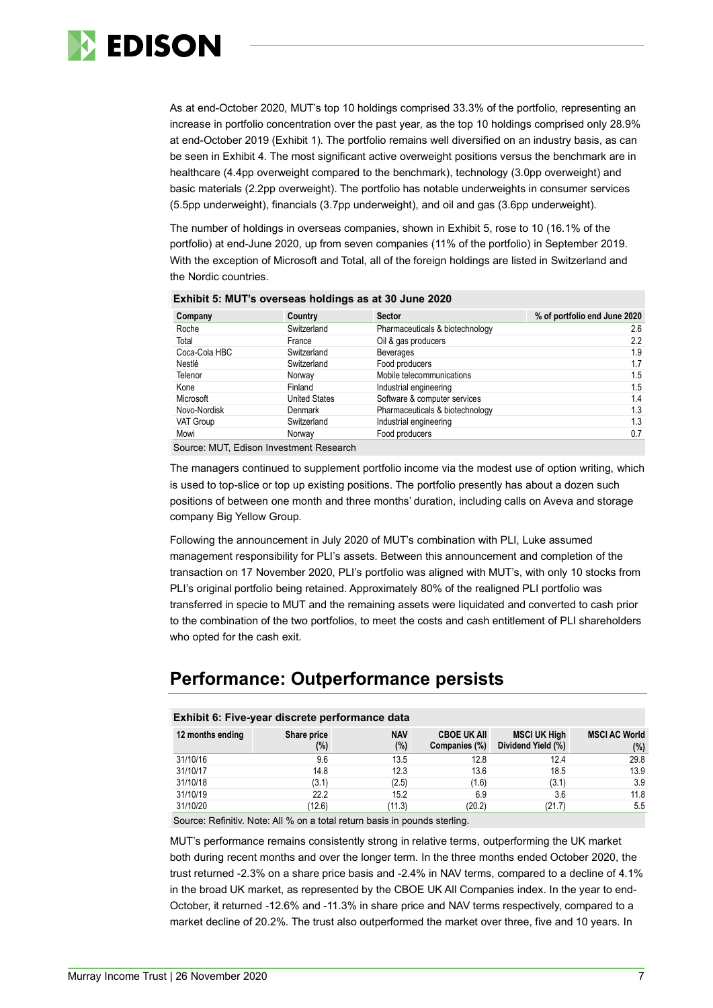

As at end-October 2020, MUT's top 10 holdings comprised 33.3% of the portfolio, representing an increase in portfolio concentration over the past year, as the top 10 holdings comprised only 28.9% at end-October 2019 (Exhibit 1). The portfolio remains well diversified on an industry basis, as can be seen in Exhibit 4. The most significant active overweight positions versus the benchmark are in healthcare (4.4pp overweight compared to the benchmark), technology (3.0pp overweight) and basic materials (2.2pp overweight). The portfolio has notable underweights in consumer services (5.5pp underweight), financials (3.7pp underweight), and oil and gas (3.6pp underweight).

The number of holdings in overseas companies, shown in Exhibit 5, rose to 10 (16.1% of the portfolio) at end-June 2020, up from seven companies (11% of the portfolio) in September 2019. With the exception of Microsoft and Total, all of the foreign holdings are listed in Switzerland and the Nordic countries.

| Company          | Country              | <b>Sector</b>                   | % of portfolio end June 2020 |
|------------------|----------------------|---------------------------------|------------------------------|
| Roche            | Switzerland          | Pharmaceuticals & biotechnology | 2.6                          |
| Total            | France               | Oil & gas producers             | 2.2                          |
| Coca-Cola HBC    | Switzerland          | <b>Beverages</b>                | 1.9                          |
| Nestlé           | Switzerland          | Food producers                  | 1.7                          |
| Telenor          | Norway               | Mobile telecommunications       | 1.5                          |
| Kone             | Finland              | Industrial engineering          | 1.5                          |
| Microsoft        | <b>Jnited States</b> | Software & computer services    | 1.4                          |
| Novo-Nordisk     | Denmark              | Pharmaceuticals & biotechnology | 1.3                          |
| <b>VAT Group</b> | Switzerland          | Industrial engineering          | 1.3                          |
| Mowi             | Norway               | Food producers                  | 0.7                          |

#### **Exhibit 5: MUT's overseas holdings as at 30 June 2020**

Source: MUT, Edison Investment Research

The managers continued to supplement portfolio income via the modest use of option writing, which is used to top-slice or top up existing positions. The portfolio presently has about a dozen such positions of between one month and three months' duration, including calls on Aveva and storage company Big Yellow Group.

Following the announcement in July 2020 of MUT's combination with PLI, Luke assumed management responsibility for PLI's assets. Between this announcement and completion of the transaction on 17 November 2020, PLI's portfolio was aligned with MUT's, with only 10 stocks from PLI's original portfolio being retained. Approximately 80% of the realigned PLI portfolio was transferred in specie to MUT and the remaining assets were liquidated and converted to cash prior to the combination of the two portfolios, to meet the costs and cash entitlement of PLI shareholders who opted for the cash exit.

## **Performance: Outperformance persists**

#### **Exhibit 6: Five-year discrete performance data**

| 12 months ending | Share price<br>(%) | <b>NAV</b><br>$(\%)$ | <b>CBOE UK AII</b><br>Companies (%) | <b>MSCI UK High</b><br>Dividend Yield (%) | <b>MSCI AC World</b><br>(%) |
|------------------|--------------------|----------------------|-------------------------------------|-------------------------------------------|-----------------------------|
| 31/10/16         | 9.6                | 13.5                 | 12.8                                | 12.4                                      | 29.8                        |
| 31/10/17         | 14.8               | 12.3                 | 13.6                                | 18.5                                      | 13.9                        |
| 31/10/18         | (3.1)              | (2.5)                | (1.6)                               | (3.1)                                     | 3.9                         |
| 31/10/19         | 22.2               | 15.2                 | 6.9                                 | 3.6                                       | 11.8                        |
| 31/10/20         | (12.6)             | (11.3)               | (20.2)                              | (21.7)                                    | 5.5                         |

Source: Refinitiv. Note: All % on a total return basis in pounds sterling.

MUT's performance remains consistently strong in relative terms, outperforming the UK market both during recent months and over the longer term. In the three months ended October 2020, the trust returned -2.3% on a share price basis and -2.4% in NAV terms, compared to a decline of 4.1% in the broad UK market, as represented by the CBOE UK All Companies index. In the year to end-October, it returned -12.6% and -11.3% in share price and NAV terms respectively, compared to a market decline of 20.2%. The trust also outperformed the market over three, five and 10 years. In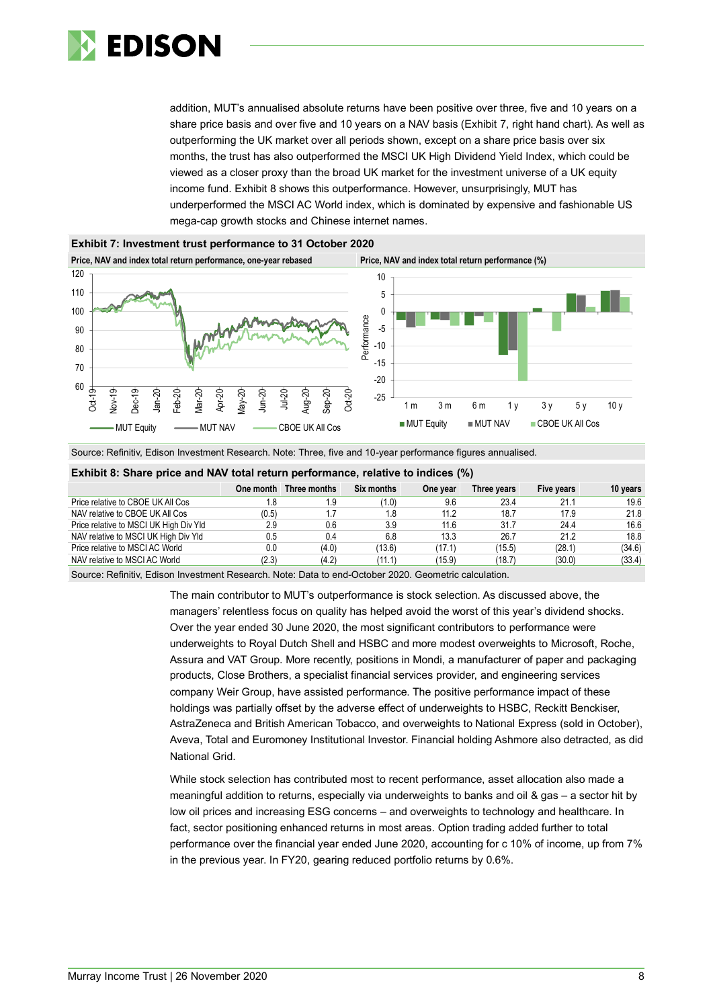

addition, MUT's annualised absolute returns have been positive over three, five and 10 years on a share price basis and over five and 10 years on a NAV basis (Exhibit 7, right hand chart). As well as outperforming the UK market over all periods shown, except on a share price basis over six months, the trust has also outperformed the MSCI UK High Dividend Yield Index, which could be viewed as a closer proxy than the broad UK market for the investment universe of a UK equity income fund. Exhibit 8 shows this outperformance. However, unsurprisingly, MUT has underperformed the MSCI AC World index, which is dominated by expensive and fashionable US mega-cap growth stocks and Chinese internet names.





Source: Refinitiv, Edison Investment Research. Note: Three, five and 10-year performance figures annualised.

| Exhibit 8: Share price and NAV total return performance, relative to indices (%) |           |              |            |          |             |            |          |  |  |  |
|----------------------------------------------------------------------------------|-----------|--------------|------------|----------|-------------|------------|----------|--|--|--|
|                                                                                  | One month | Three months | Six months | One year | Three years | Five years | 10 years |  |  |  |
| Price relative to CBOE UK All Cos                                                | 1.8       | 1.9          | (1.0)      | 9.6      | 23.4        | 21.1       | 19.6     |  |  |  |
| NAV relative to CBOE UK All Cos                                                  | (0.5)     | 1.7          | 1.8        | 11.2     | 18.7        | 17.9       | 21.8     |  |  |  |
| Price relative to MSCI UK High Div Yld                                           | 2.9       | 0.6          | 3.9        | 11.6     | 31.7        | 24.4       | 16.6     |  |  |  |
| NAV relative to MSCI UK High Div Yld                                             | 0.5       | 0.4          | 6.8        | 13.3     | 26.7        | 21.2       | 18.8     |  |  |  |
| Price relative to MSCI AC World                                                  | 0.0       | (4.0)        | (13.6)     | (17.1)   | (15.5)      | (28.1)     | (34.6)   |  |  |  |
| NAV relative to MSCI AC World                                                    | (2.3)     | (4.2)        | (11.1)     | (15.9)   | (18.7)      | (30.0)     | (33.4)   |  |  |  |
|                                                                                  |           |              |            |          |             |            |          |  |  |  |

Source: Refinitiv, Edison Investment Research. Note: Data to end-October 2020. Geometric calculation.

The main contributor to MUT's outperformance is stock selection. As discussed above, the managers' relentless focus on quality has helped avoid the worst of this year's dividend shocks. Over the year ended 30 June 2020, the most significant contributors to performance were underweights to Royal Dutch Shell and HSBC and more modest overweights to Microsoft, Roche, Assura and VAT Group. More recently, positions in Mondi, a manufacturer of paper and packaging products, Close Brothers, a specialist financial services provider, and engineering services company Weir Group, have assisted performance. The positive performance impact of these holdings was partially offset by the adverse effect of underweights to HSBC, Reckitt Benckiser, AstraZeneca and British American Tobacco, and overweights to National Express (sold in October), Aveva, Total and Euromoney Institutional Investor. Financial holding Ashmore also detracted, as did National Grid.

While stock selection has contributed most to recent performance, asset allocation also made a meaningful addition to returns, especially via underweights to banks and oil & gas – a sector hit by low oil prices and increasing ESG concerns – and overweights to technology and healthcare. In fact, sector positioning enhanced returns in most areas. Option trading added further to total performance over the financial year ended June 2020, accounting for c 10% of income, up from 7% in the previous year. In FY20, gearing reduced portfolio returns by 0.6%.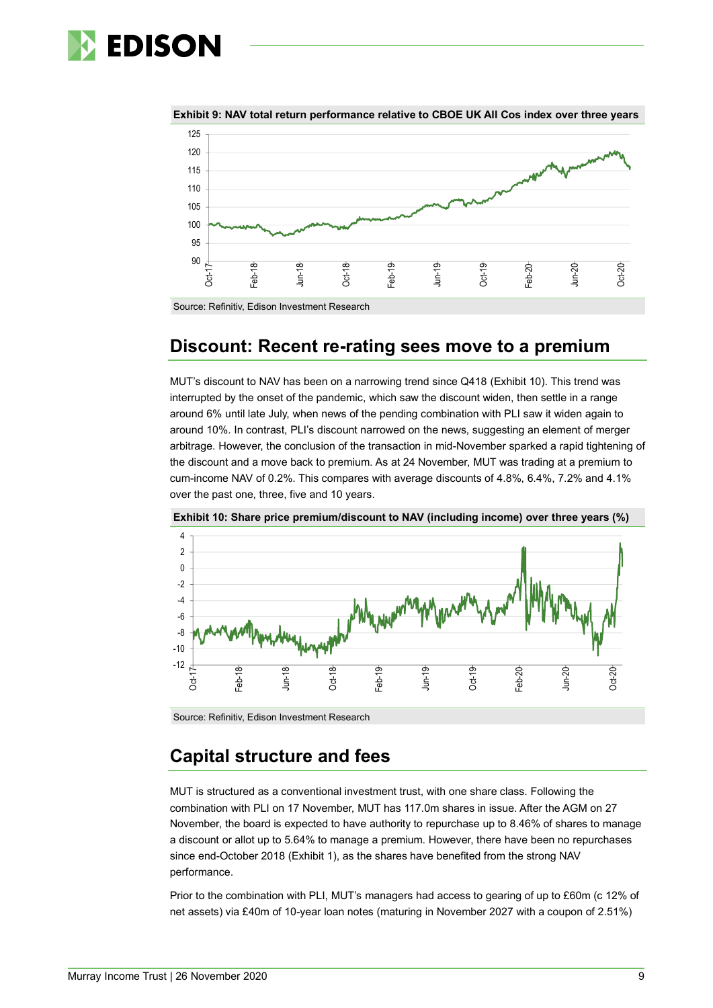



**Exhibit 9: NAV total return performance relative to CBOE UK All Cos index over three years**

Source: Refinitiv, Edison Investment Research

## **Discount: Recent re-rating sees move to a premium**

MUT's discount to NAV has been on a narrowing trend since Q418 (Exhibit 10). This trend was interrupted by the onset of the pandemic, which saw the discount widen, then settle in a range around 6% until late July, when news of the pending combination with PLI saw it widen again to around 10%. In contrast, PLI's discount narrowed on the news, suggesting an element of merger arbitrage. However, the conclusion of the transaction in mid-November sparked a rapid tightening of the discount and a move back to premium. As at 24 November, MUT was trading at a premium to cum-income NAV of 0.2%. This compares with average discounts of 4.8%, 6.4%, 7.2% and 4.1% over the past one, three, five and 10 years.



**Exhibit 10: Share price premium/discount to NAV (including income) over three years (%)**

Source: Refinitiv, Edison Investment Research

## **Capital structure and fees**

MUT is structured as a conventional investment trust, with one share class. Following the combination with PLI on 17 November, MUT has 117.0m shares in issue. After the AGM on 27 November, the board is expected to have authority to repurchase up to 8.46% of shares to manage a discount or allot up to 5.64% to manage a premium. However, there have been no repurchases since end-October 2018 (Exhibit 1), as the shares have benefited from the strong NAV performance.

Prior to the combination with PLI, MUT's managers had access to gearing of up to £60m (c 12% of net assets) via £40m of 10-year loan notes (maturing in November 2027 with a coupon of 2.51%)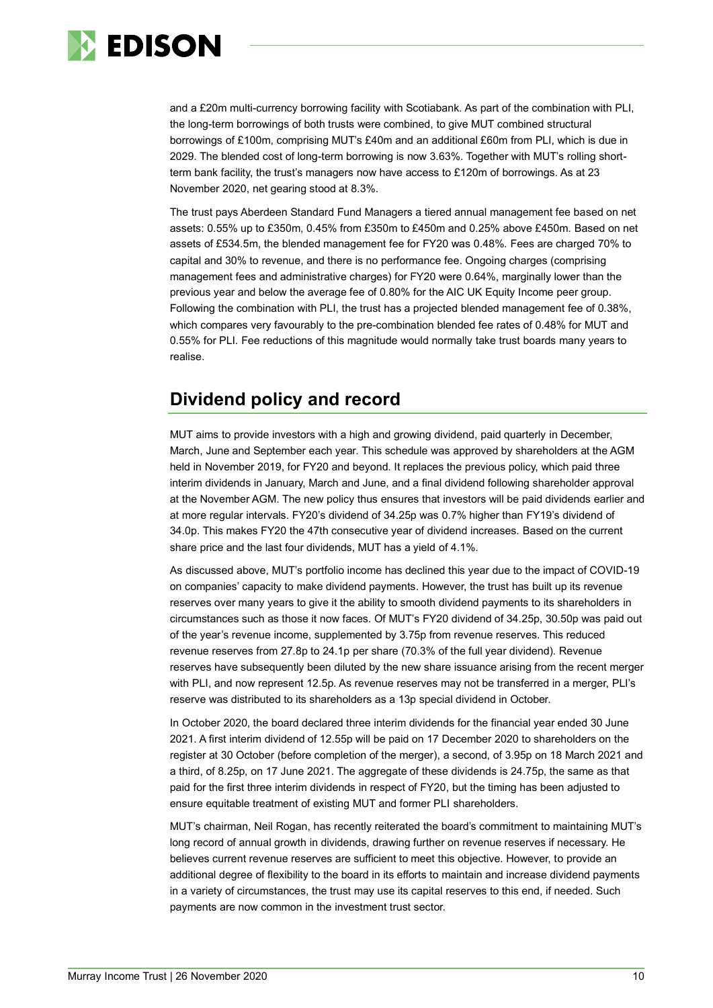

and a £20m multi-currency borrowing facility with Scotiabank. As part of the combination with PLI, the long-term borrowings of both trusts were combined, to give MUT combined structural borrowings of £100m, comprising MUT's £40m and an additional £60m from PLI, which is due in 2029. The blended cost of long-term borrowing is now 3.63%. Together with MUT's rolling shortterm bank facility, the trust's managers now have access to £120m of borrowings. As at 23 November 2020, net gearing stood at 8.3%.

The trust pays Aberdeen Standard Fund Managers a tiered annual management fee based on net assets: 0.55% up to £350m, 0.45% from £350m to £450m and 0.25% above £450m. Based on net assets of £534.5m, the blended management fee for FY20 was 0.48%. Fees are charged 70% to capital and 30% to revenue, and there is no performance fee. Ongoing charges (comprising management fees and administrative charges) for FY20 were 0.64%, marginally lower than the previous year and below the average fee of 0.80% for the AIC UK Equity Income peer group. Following the combination with PLI, the trust has a projected blended management fee of 0.38%, which compares very favourably to the pre-combination blended fee rates of 0.48% for MUT and 0.55% for PLI. Fee reductions of this magnitude would normally take trust boards many years to realise.

## **Dividend policy and record**

MUT aims to provide investors with a high and growing dividend, paid quarterly in December, March, June and September each year. This schedule was approved by shareholders at the AGM held in November 2019, for FY20 and beyond. It replaces the previous policy, which paid three interim dividends in January, March and June, and a final dividend following shareholder approval at the November AGM. The new policy thus ensures that investors will be paid dividends earlier and at more regular intervals. FY20's dividend of 34.25p was 0.7% higher than FY19's dividend of 34.0p. This makes FY20 the 47th consecutive year of dividend increases. Based on the current share price and the last four dividends, MUT has a yield of 4.1%.

As discussed above, MUT's portfolio income has declined this year due to the impact of COVID-19 on companies' capacity to make dividend payments. However, the trust has built up its revenue reserves over many years to give it the ability to smooth dividend payments to its shareholders in circumstances such as those it now faces. Of MUT's FY20 dividend of 34.25p, 30.50p was paid out of the year's revenue income, supplemented by 3.75p from revenue reserves. This reduced revenue reserves from 27.8p to 24.1p per share (70.3% of the full year dividend). Revenue reserves have subsequently been diluted by the new share issuance arising from the recent merger with PLI, and now represent 12.5p. As revenue reserves may not be transferred in a merger, PLI's reserve was distributed to its shareholders as a 13p special dividend in October.

In October 2020, the board declared three interim dividends for the financial year ended 30 June 2021. A first interim dividend of 12.55p will be paid on 17 December 2020 to shareholders on the register at 30 October (before completion of the merger), a second, of 3.95p on 18 March 2021 and a third, of 8.25p, on 17 June 2021. The aggregate of these dividends is 24.75p, the same as that paid for the first three interim dividends in respect of FY20, but the timing has been adjusted to ensure equitable treatment of existing MUT and former PLI shareholders.

MUT's chairman, Neil Rogan, has recently reiterated the board's commitment to maintaining MUT's long record of annual growth in dividends, drawing further on revenue reserves if necessary. He believes current revenue reserves are sufficient to meet this objective. However, to provide an additional degree of flexibility to the board in its efforts to maintain and increase dividend payments in a variety of circumstances, the trust may use its capital reserves to this end, if needed. Such payments are now common in the investment trust sector.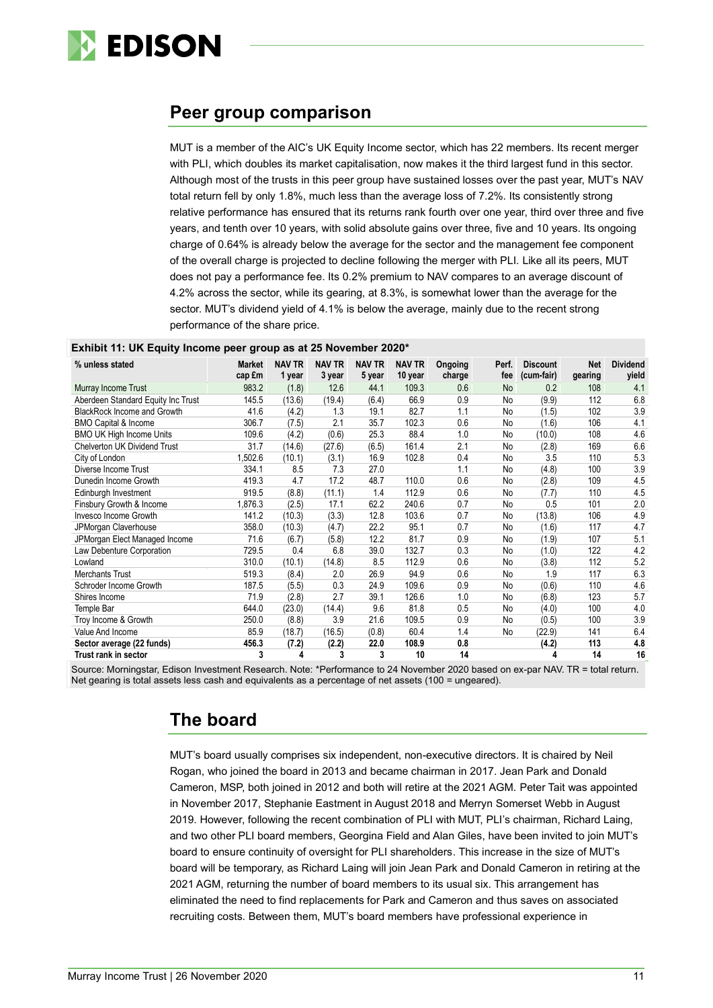

## **Peer group comparison**

MUT is a member of the AIC's UK Equity Income sector, which has 22 members. Its recent merger with PLI, which doubles its market capitalisation, now makes it the third largest fund in this sector. Although most of the trusts in this peer group have sustained losses over the past year, MUT's NAV total return fell by only 1.8%, much less than the average loss of 7.2%. Its consistently strong relative performance has ensured that its returns rank fourth over one year, third over three and five years, and tenth over 10 years, with solid absolute gains over three, five and 10 years. Its ongoing charge of 0.64% is already below the average for the sector and the management fee component of the overall charge is projected to decline following the merger with PLI. Like all its peers, MUT does not pay a performance fee. Its 0.2% premium to NAV compares to an average discount of 4.2% across the sector, while its gearing, at 8.3%, is somewhat lower than the average for the sector. MUT's dividend yield of 4.1% is below the average, mainly due to the recent strong performance of the share price.

| Exhibit 11: UK Equity Income peer group as at 25 November 2020* |  |  |  |  |
|-----------------------------------------------------------------|--|--|--|--|
|-----------------------------------------------------------------|--|--|--|--|

| % unless stated                    | <b>Market</b><br>cap £m | <b>NAV TR</b><br>1 year | <b>NAV TR</b><br>3 year | <b>NAV TR</b><br>5 year | <b>NAV TR</b><br>10 year | Ongoing<br>charge | Perf.<br>fee | <b>Discount</b><br>(cum-fair) | <b>Net</b><br>gearing | <b>Dividend</b><br>yield |
|------------------------------------|-------------------------|-------------------------|-------------------------|-------------------------|--------------------------|-------------------|--------------|-------------------------------|-----------------------|--------------------------|
| Murray Income Trust                | 983.2                   | (1.8)                   | 12.6                    | 44.1                    | 109.3                    | 0.6               | <b>No</b>    | 0.2                           | 108                   | 4.1                      |
| Aberdeen Standard Equity Inc Trust | 145.5                   | (13.6)                  | (19.4)                  | (6.4)                   | 66.9                     | 0.9               | No           | (9.9)                         | 112                   | 6.8                      |
| BlackRock Income and Growth        | 41.6                    | (4.2)                   | 1.3                     | 19.1                    | 82.7                     | 1.1               | No           | (1.5)                         | 102                   | 3.9                      |
| <b>BMO Capital &amp; Income</b>    | 306.7                   | (7.5)                   | 2.1                     | 35.7                    | 102.3                    | 0.6               | No           | (1.6)                         | 106                   | 4.1                      |
| <b>BMO UK High Income Units</b>    | 109.6                   | (4.2)                   | (0.6)                   | 25.3                    | 88.4                     | 1.0               | No           | (10.0)                        | 108                   | 4.6                      |
| Chelverton UK Dividend Trust       | 31.7                    | (14.6)                  | (27.6)                  | (6.5)                   | 161.4                    | 2.1               | No           | (2.8)                         | 169                   | 6.6                      |
| City of London                     | 1,502.6                 | (10.1)                  | (3.1)                   | 16.9                    | 102.8                    | 0.4               | No           | 3.5                           | 110                   | 5.3                      |
| Diverse Income Trust               | 334.1                   | 8.5                     | 7.3                     | 27.0                    |                          | 1.1               | No           | (4.8)                         | 100                   | 3.9                      |
| Dunedin Income Growth              | 419.3                   | 4.7                     | 17.2                    | 48.7                    | 110.0                    | 0.6               | No           | (2.8)                         | 109                   | 4.5                      |
| Edinburgh Investment               | 919.5                   | (8.8)                   | (11.1)                  | 1.4                     | 112.9                    | 0.6               | No           | (7.7)                         | 110                   | 4.5                      |
| Finsbury Growth & Income           | 1,876.3                 | (2.5)                   | 17.1                    | 62.2                    | 240.6                    | 0.7               | No           | 0.5                           | 101                   | 2.0                      |
| Invesco Income Growth              | 141.2                   | (10.3)                  | (3.3)                   | 12.8                    | 103.6                    | 0.7               | No           | (13.8)                        | 106                   | 4.9                      |
| JPMorgan Claverhouse               | 358.0                   | (10.3)                  | (4.7)                   | 22.2                    | 95.1                     | 0.7               | No           | (1.6)                         | 117                   | 4.7                      |
| JPMorgan Elect Managed Income      | 71.6                    | (6.7)                   | (5.8)                   | 12.2                    | 81.7                     | 0.9               | No           | (1.9)                         | 107                   | 5.1                      |
| Law Debenture Corporation          | 729.5                   | 0.4                     | 6.8                     | 39.0                    | 132.7                    | 0.3               | No           | (1.0)                         | 122                   | 4.2                      |
| Lowland                            | 310.0                   | (10.1)                  | (14.8)                  | 8.5                     | 112.9                    | 0.6               | No           | (3.8)                         | 112                   | 5.2                      |
| <b>Merchants Trust</b>             | 519.3                   | (8.4)                   | 2.0                     | 26.9                    | 94.9                     | 0.6               | No           | 1.9                           | 117                   | 6.3                      |
| Schroder Income Growth             | 187.5                   | (5.5)                   | 0.3                     | 24.9                    | 109.6                    | 0.9               | No           | (0.6)                         | 110                   | 4.6                      |
| Shires Income                      | 71.9                    | (2.8)                   | 2.7                     | 39.1                    | 126.6                    | 1.0               | No           | (6.8)                         | 123                   | 5.7                      |
| Temple Bar                         | 644.0                   | (23.0)                  | (14.4)                  | 9.6                     | 81.8                     | 0.5               | No           | (4.0)                         | 100                   | 4.0                      |
| Troy Income & Growth               | 250.0                   | (8.8)                   | 3.9                     | 21.6                    | 109.5                    | 0.9               | No           | (0.5)                         | 100                   | 3.9                      |
| Value And Income                   | 85.9                    | (18.7)                  | (16.5)                  | (0.8)                   | 60.4                     | 1.4               | No           | (22.9)                        | 141                   | 6.4                      |
| Sector average (22 funds)          | 456.3                   | (7.2)                   | (2.2)                   | 22.0                    | 108.9                    | 0.8               |              | (4.2)                         | 113                   | 4.8                      |
| Trust rank in sector               | 3                       | 4                       | 3                       | 3                       | 10                       | 14                |              | 4                             | 14                    | 16                       |

Source: Morningstar, Edison Investment Research. Note: \*Performance to 24 November 2020 based on ex-par NAV. TR = total return. Net gearing is total assets less cash and equivalents as a percentage of net assets (100 = ungeared).

## **The board**

MUT's board usually comprises six independent, non-executive directors. It is chaired by Neil Rogan, who joined the board in 2013 and became chairman in 2017. Jean Park and Donald Cameron, MSP, both joined in 2012 and both will retire at the 2021 AGM. Peter Tait was appointed in November 2017, Stephanie Eastment in August 2018 and Merryn Somerset Webb in August 2019. However, following the recent combination of PLI with MUT, PLI's chairman, Richard Laing, and two other PLI board members, Georgina Field and Alan Giles, have been invited to join MUT's board to ensure continuity of oversight for PLI shareholders. This increase in the size of MUT's board will be temporary, as Richard Laing will join Jean Park and Donald Cameron in retiring at the 2021 AGM, returning the number of board members to its usual six. This arrangement has eliminated the need to find replacements for Park and Cameron and thus saves on associated recruiting costs. Between them, MUT's board members have professional experience in